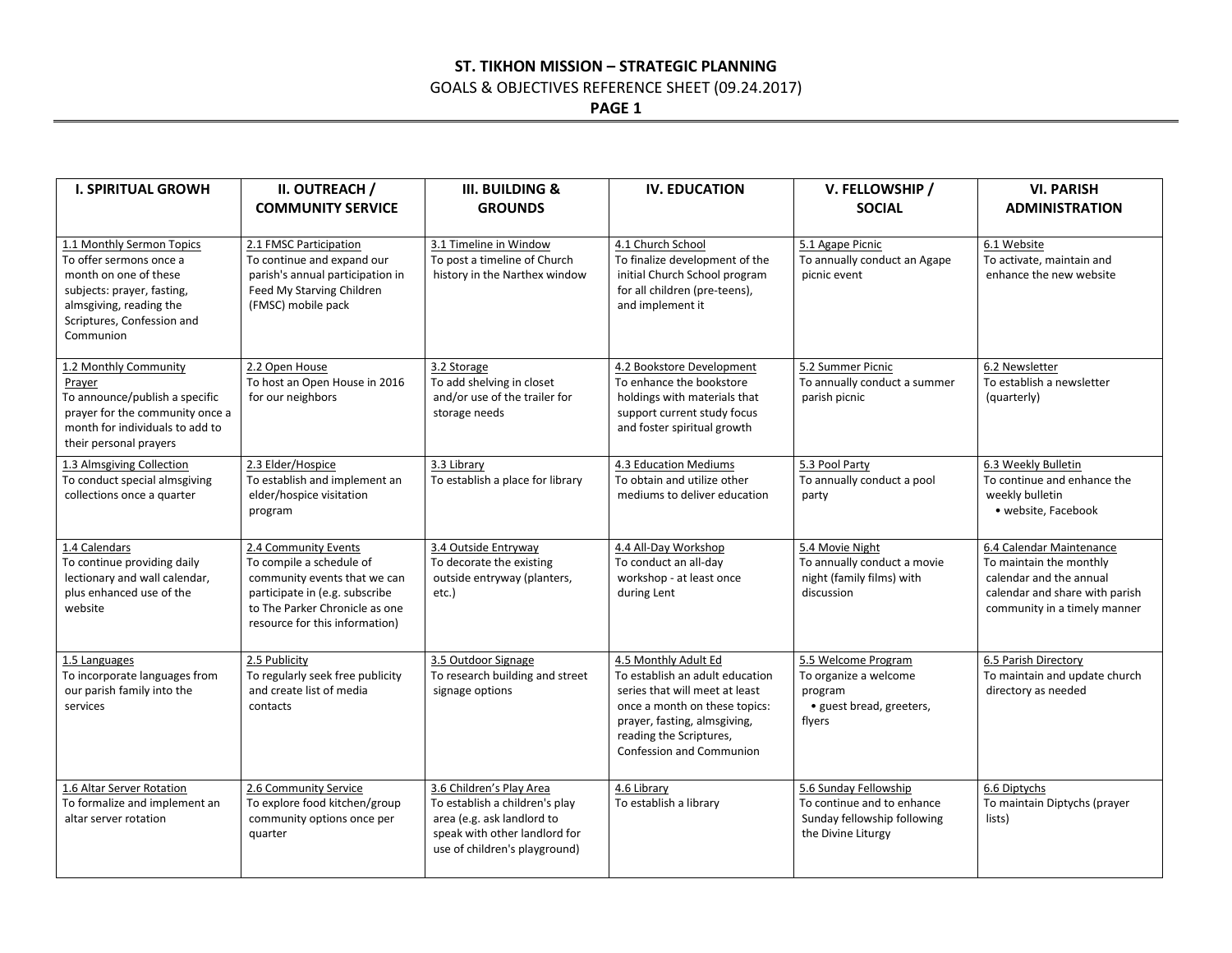### **ST. TIKHON MISSION – STRATEGIC PLANNING**

# GOALS & OBJECTIVES REFERENCE SHEET (09.24.2017)

**PAGE 1**

| <b>I. SPIRITUAL GROWH</b>                                                                                                                                                         | II. OUTREACH /<br><b>COMMUNITY SERVICE</b>                                                                                                                                             | <b>III. BUILDING &amp;</b><br><b>GROUNDS</b>                                                                                                               | <b>IV. EDUCATION</b>                                                                                                                                                                                                     | V. FELLOWSHIP /<br><b>SOCIAL</b>                                                                         | <b>VI. PARISH</b><br><b>ADMINISTRATION</b>                                                                                                       |
|-----------------------------------------------------------------------------------------------------------------------------------------------------------------------------------|----------------------------------------------------------------------------------------------------------------------------------------------------------------------------------------|------------------------------------------------------------------------------------------------------------------------------------------------------------|--------------------------------------------------------------------------------------------------------------------------------------------------------------------------------------------------------------------------|----------------------------------------------------------------------------------------------------------|--------------------------------------------------------------------------------------------------------------------------------------------------|
| 1.1 Monthly Sermon Topics<br>To offer sermons once a<br>month on one of these<br>subjects: prayer, fasting,<br>almsgiving, reading the<br>Scriptures, Confession and<br>Communion | 2.1 FMSC Participation<br>To continue and expand our<br>parish's annual participation in<br>Feed My Starving Children<br>(FMSC) mobile pack                                            | 3.1 Timeline in Window<br>To post a timeline of Church<br>history in the Narthex window                                                                    | 4.1 Church School<br>To finalize development of the<br>initial Church School program<br>for all children (pre-teens),<br>and implement it                                                                                | 5.1 Agape Picnic<br>To annually conduct an Agape<br>picnic event                                         | 6.1 Website<br>To activate, maintain and<br>enhance the new website                                                                              |
| 1.2 Monthly Community<br>Prayer<br>To announce/publish a specific<br>prayer for the community once a<br>month for individuals to add to<br>their personal prayers                 | 2.2 Open House<br>To host an Open House in 2016<br>for our neighbors                                                                                                                   | 3.2 Storage<br>To add shelving in closet<br>and/or use of the trailer for<br>storage needs                                                                 | 4.2 Bookstore Development<br>To enhance the bookstore<br>holdings with materials that<br>support current study focus<br>and foster spiritual growth                                                                      | 5.2 Summer Picnic<br>To annually conduct a summer<br>parish picnic                                       | 6.2 Newsletter<br>To establish a newsletter<br>(quarterly)                                                                                       |
| 1.3 Almsgiving Collection<br>To conduct special almsgiving<br>collections once a quarter                                                                                          | 2.3 Elder/Hospice<br>To establish and implement an<br>elder/hospice visitation<br>program                                                                                              | 3.3 Library<br>To establish a place for library                                                                                                            | 4.3 Education Mediums<br>To obtain and utilize other<br>mediums to deliver education                                                                                                                                     | 5.3 Pool Party<br>To annually conduct a pool<br>party                                                    | 6.3 Weekly Bulletin<br>To continue and enhance the<br>weekly bulletin<br>· website, Facebook                                                     |
| 1.4 Calendars<br>To continue providing daily<br>lectionary and wall calendar,<br>plus enhanced use of the<br>website                                                              | 2.4 Community Events<br>To compile a schedule of<br>community events that we can<br>participate in (e.g. subscribe<br>to The Parker Chronicle as one<br>resource for this information) | 3.4 Outside Entryway<br>To decorate the existing<br>outside entryway (planters,<br>etc.)                                                                   | 4.4 All-Day Workshop<br>To conduct an all-day<br>workshop - at least once<br>during Lent                                                                                                                                 | 5.4 Movie Night<br>To annually conduct a movie<br>night (family films) with<br>discussion                | 6.4 Calendar Maintenance<br>To maintain the monthly<br>calendar and the annual<br>calendar and share with parish<br>community in a timely manner |
| 1.5 Languages<br>To incorporate languages from<br>our parish family into the<br>services                                                                                          | 2.5 Publicity<br>To regularly seek free publicity<br>and create list of media<br>contacts                                                                                              | 3.5 Outdoor Signage<br>To research building and street<br>signage options                                                                                  | 4.5 Monthly Adult Ed<br>To establish an adult education<br>series that will meet at least<br>once a month on these topics:<br>prayer, fasting, almsgiving,<br>reading the Scriptures,<br><b>Confession and Communion</b> | 5.5 Welcome Program<br>To organize a welcome<br>program<br>· guest bread, greeters,<br>flyers            | 6.5 Parish Directory<br>To maintain and update church<br>directory as needed                                                                     |
| 1.6 Altar Server Rotation<br>To formalize and implement an<br>altar server rotation                                                                                               | 2.6 Community Service<br>To explore food kitchen/group<br>community options once per<br>quarter                                                                                        | 3.6 Children's Play Area<br>To establish a children's play<br>area (e.g. ask landlord to<br>speak with other landlord for<br>use of children's playground) | 4.6 Library<br>To establish a library                                                                                                                                                                                    | 5.6 Sunday Fellowship<br>To continue and to enhance<br>Sunday fellowship following<br>the Divine Liturgy | 6.6 Diptychs<br>To maintain Diptychs (prayer<br>lists)                                                                                           |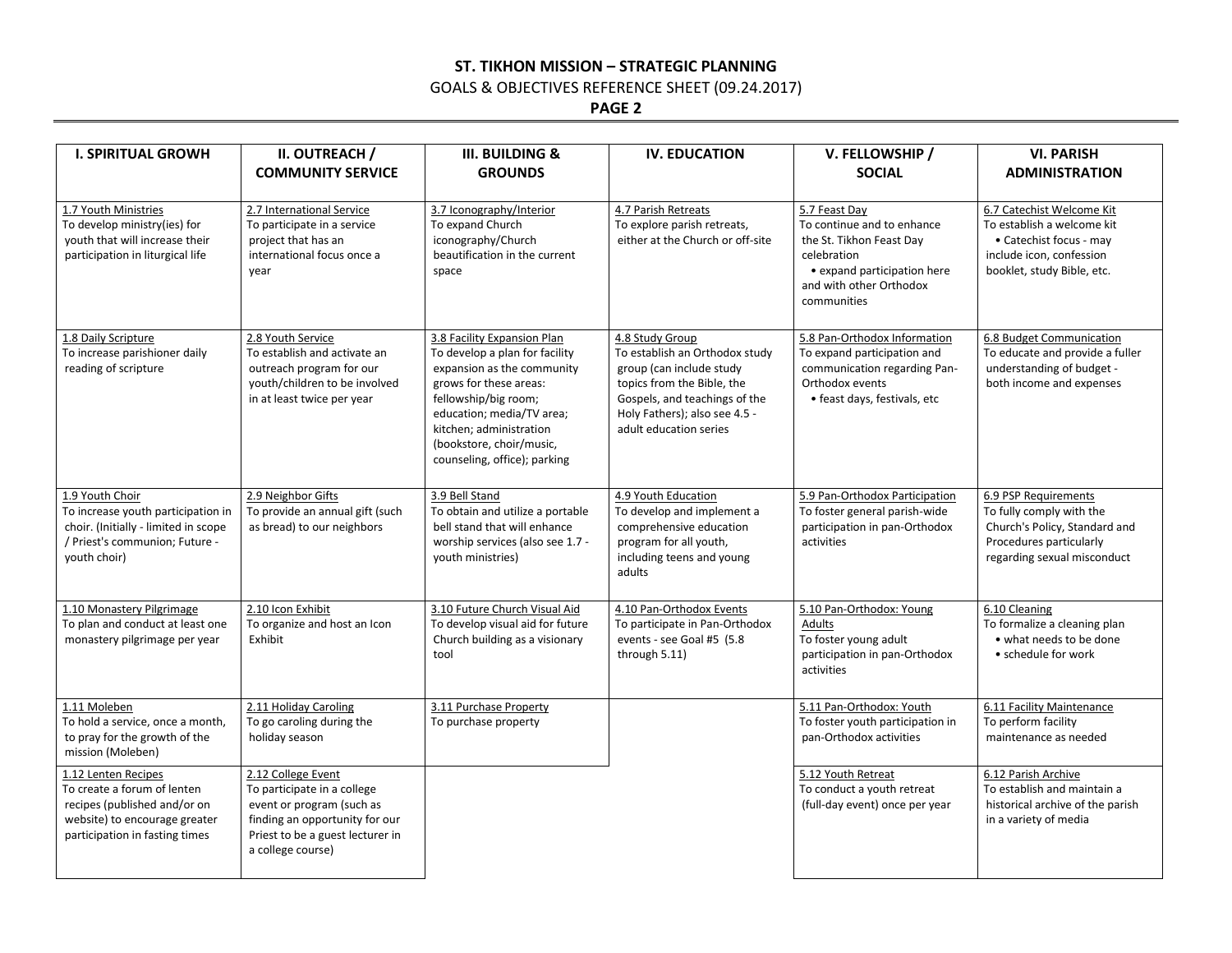### **ST. TIKHON MISSION – STRATEGIC PLANNING**

GOALS & OBJECTIVES REFERENCE SHEET (09.24.2017)

**PAGE 2**

| <b>I. SPIRITUAL GROWH</b>                                                                                                                             | II. OUTREACH /                                                                                                                                                            | <b>III. BUILDING &amp;</b>                                                                                                                                                                                                                                        | <b>IV. EDUCATION</b>                                                                                                                                                                                    | V. FELLOWSHIP /                                                                                                                                                 | <b>VI. PARISH</b>                                                                                                                            |
|-------------------------------------------------------------------------------------------------------------------------------------------------------|---------------------------------------------------------------------------------------------------------------------------------------------------------------------------|-------------------------------------------------------------------------------------------------------------------------------------------------------------------------------------------------------------------------------------------------------------------|---------------------------------------------------------------------------------------------------------------------------------------------------------------------------------------------------------|-----------------------------------------------------------------------------------------------------------------------------------------------------------------|----------------------------------------------------------------------------------------------------------------------------------------------|
|                                                                                                                                                       | <b>COMMUNITY SERVICE</b>                                                                                                                                                  | <b>GROUNDS</b>                                                                                                                                                                                                                                                    |                                                                                                                                                                                                         | <b>SOCIAL</b>                                                                                                                                                   | <b>ADMINISTRATION</b>                                                                                                                        |
| 1.7 Youth Ministries<br>To develop ministry(ies) for<br>youth that will increase their<br>participation in liturgical life                            | 2.7 International Service<br>To participate in a service<br>project that has an<br>international focus once a<br>vear                                                     | 3.7 Iconography/Interior<br>To expand Church<br>iconography/Church<br>beautification in the current<br>space                                                                                                                                                      | 4.7 Parish Retreats<br>To explore parish retreats,<br>either at the Church or off-site                                                                                                                  | 5.7 Feast Day<br>To continue and to enhance<br>the St. Tikhon Feast Day<br>celebration<br>• expand participation here<br>and with other Orthodox<br>communities | 6.7 Catechist Welcome Kit<br>To establish a welcome kit<br>• Catechist focus - may<br>include icon, confession<br>booklet, study Bible, etc. |
| 1.8 Daily Scripture<br>To increase parishioner daily<br>reading of scripture                                                                          | 2.8 Youth Service<br>To establish and activate an<br>outreach program for our<br>youth/children to be involved<br>in at least twice per year                              | 3.8 Facility Expansion Plan<br>To develop a plan for facility<br>expansion as the community<br>grows for these areas:<br>fellowship/big room;<br>education; media/TV area;<br>kitchen; administration<br>(bookstore, choir/music,<br>counseling, office); parking | 4.8 Study Group<br>To establish an Orthodox study<br>group (can include study<br>topics from the Bible, the<br>Gospels, and teachings of the<br>Holy Fathers); also see 4.5 -<br>adult education series | 5.8 Pan-Orthodox Information<br>To expand participation and<br>communication regarding Pan-<br>Orthodox events<br>• feast days, festivals, etc                  | 6.8 Budget Communication<br>To educate and provide a fuller<br>understanding of budget -<br>both income and expenses                         |
| 1.9 Youth Choir<br>To increase youth participation in<br>choir. (Initially - limited in scope<br>/ Priest's communion; Future -<br>youth choir)       | 2.9 Neighbor Gifts<br>To provide an annual gift (such<br>as bread) to our neighbors                                                                                       | 3.9 Bell Stand<br>To obtain and utilize a portable<br>bell stand that will enhance<br>worship services (also see 1.7 -<br>youth ministries)                                                                                                                       | 4.9 Youth Education<br>To develop and implement a<br>comprehensive education<br>program for all youth,<br>including teens and young<br>adults                                                           | 5.9 Pan-Orthodox Participation<br>To foster general parish-wide<br>participation in pan-Orthodox<br>activities                                                  | 6.9 PSP Requirements<br>To fully comply with the<br>Church's Policy, Standard and<br>Procedures particularly<br>regarding sexual misconduct  |
| 1.10 Monastery Pilgrimage<br>To plan and conduct at least one<br>monastery pilgrimage per year                                                        | 2.10 Icon Exhibit<br>To organize and host an Icon<br>Exhibit                                                                                                              | 3.10 Future Church Visual Aid<br>To develop visual aid for future<br>Church building as a visionary<br>tool                                                                                                                                                       | 4.10 Pan-Orthodox Events<br>To participate in Pan-Orthodox<br>events - see Goal #5 (5.8<br>through 5.11)                                                                                                | 5.10 Pan-Orthodox: Young<br>Adults<br>To foster young adult<br>participation in pan-Orthodox<br>activities                                                      | 6.10 Cleaning<br>To formalize a cleaning plan<br>• what needs to be done<br>• schedule for work                                              |
| 1.11 Moleben<br>To hold a service, once a month,<br>to pray for the growth of the<br>mission (Moleben)                                                | 2.11 Holiday Caroling<br>To go caroling during the<br>holiday season                                                                                                      | 3.11 Purchase Property<br>To purchase property                                                                                                                                                                                                                    |                                                                                                                                                                                                         | 5.11 Pan-Orthodox: Youth<br>To foster youth participation in<br>pan-Orthodox activities                                                                         | 6.11 Facility Maintenance<br>To perform facility<br>maintenance as needed                                                                    |
| 1.12 Lenten Recipes<br>To create a forum of lenten<br>recipes (published and/or on<br>website) to encourage greater<br>participation in fasting times | 2.12 College Event<br>To participate in a college<br>event or program (such as<br>finding an opportunity for our<br>Priest to be a guest lecturer in<br>a college course) |                                                                                                                                                                                                                                                                   |                                                                                                                                                                                                         | 5.12 Youth Retreat<br>To conduct a youth retreat<br>(full-day event) once per year                                                                              | 6.12 Parish Archive<br>To establish and maintain a<br>historical archive of the parish<br>in a variety of media                              |